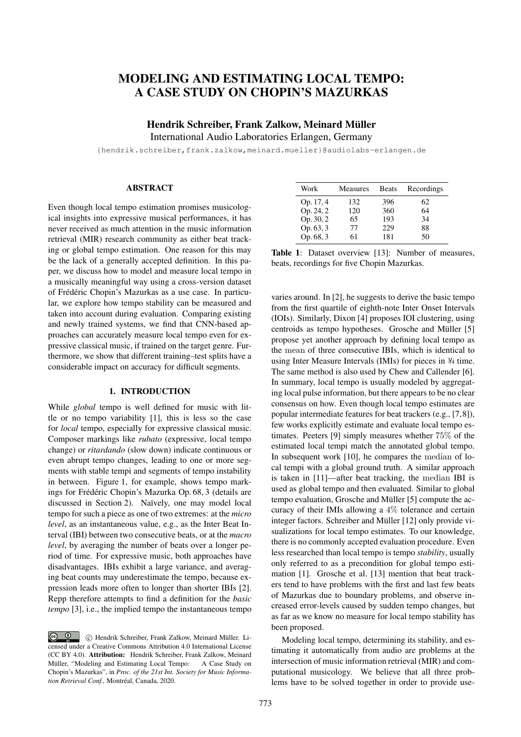# MODELING AND ESTIMATING LOCAL TEMPO: A CASE STUDY ON CHOPIN'S MAZURKAS

Hendrik Schreiber, Frank Zalkow, Meinard Müller

International Audio Laboratories Erlangen, Germany

{hendrik.schreiber,frank.zalkow,meinard.mueller}@audiolabs-erlangen.de

# ABSTRACT

Even though local tempo estimation promises musicological insights into expressive musical performances, it has never received as much attention in the music information retrieval (MIR) research community as either beat tracking or global tempo estimation. One reason for this may be the lack of a generally accepted definition. In this paper, we discuss how to model and measure local tempo in a musically meaningful way using a cross-version dataset of Frédéric Chopin's Mazurkas as a use case. In particular, we explore how tempo stability can be measured and taken into account during evaluation. Comparing existing and newly trained systems, we find that CNN-based approaches can accurately measure local tempo even for expressive classical music, if trained on the target genre. Furthermore, we show that different training–test splits have a considerable impact on accuracy for difficult segments.

#### 1. INTRODUCTION

While *global* tempo is well defined for music with little or no tempo variability [1], this is less so the case for *local* tempo, especially for expressive classical music. Composer markings like *rubato* (expressive, local tempo change) or *ritardando* (slow down) indicate continuous or even abrupt tempo changes, leading to one or more segments with stable tempi and segments of tempo instability in between. Figure 1, for example, shows tempo markings for Frédéric Chopin's Mazurka Op. 68, 3 (details are discussed in Section 2). Naïvely, one may model local tempo for such a piece as one of two extremes: at the *micro level*, as an instantaneous value, e.g., as the Inter Beat Interval (IBI) between two consecutive beats, or at the *macro level*, by averaging the number of beats over a longer period of time. For expressive music, both approaches have disadvantages. IBIs exhibit a large variance, and averaging beat counts may underestimate the tempo, because expression leads more often to longer than shorter IBIs [2]. Repp therefore attempts to find a definition for the *basic tempo* [3], i.e., the implied tempo the instantaneous tempo

| Work      | <b>Measures</b> | <b>Beats</b> | Recordings |
|-----------|-----------------|--------------|------------|
| Op. 17, 4 | 132             | 396          | 62         |
| Op. 24, 2 | 120             | 360          | 64         |
| Op. 30, 2 | 65              | 193          | 34         |
| Op. 63, 3 | 77              | 229          | 88         |
| Op. 68, 3 | 61              | 181          | 50         |

Table 1: Dataset overview [13]: Number of measures, beats, recordings for five Chopin Mazurkas.

varies around. In [2], he suggests to derive the basic tempo from the first quartile of eighth-note Inter Onset Intervals (IOIs). Similarly, Dixon [4] proposes IOI clustering, using centroids as tempo hypotheses. Grosche and Müller [5] propose yet another approach by defining local tempo as the mean of three consecutive IBIs, which is identical to using Inter Measure Intervals (IMIs) for pieces in <sup>3</sup>/<sup>4</sup> time. The same method is also used by Chew and Callender [6]. In summary, local tempo is usually modeled by aggregating local pulse information, but there appears to be no clear consensus on how. Even though local tempo estimates are popular intermediate features for beat trackers (e.g., [7,8]), few works explicitly estimate and evaluate local tempo estimates. Peeters [9] simply measures whether 75% of the estimated local tempi match the annotated global tempo. In subsequent work [10], he compares the median of local tempi with a global ground truth. A similar approach is taken in [11]—after beat tracking, the median IBI is used as global tempo and then evaluated. Similar to global tempo evaluation, Grosche and Müller [5] compute the accuracy of their IMIs allowing a 4% tolerance and certain integer factors. Schreiber and Müller [12] only provide visualizations for local tempo estimates. To our knowledge, there is no commonly accepted evaluation procedure. Even less researched than local tempo is tempo *stability*, usually only referred to as a precondition for global tempo estimation [1]. Grosche et al. [13] mention that beat trackers tend to have problems with the first and last few beats of Mazurkas due to boundary problems, and observe increased error-levels caused by sudden tempo changes, but as far as we know no measure for local tempo stability has been proposed.

Modeling local tempo, determining its stability, and estimating it automatically from audio are problems at the intersection of music information retrieval (MIR) and computational musicology. We believe that all three problems have to be solved together in order to provide use-

**c**  $\bullet$  **c** Hendrik Schreiber, Frank Zalkow, Meinard Müller. Licensed under a Creative Commons Attribution 4.0 International License (CC BY 4.0). Attribution: Hendrik Schreiber, Frank Zalkow, Meinard Müller, "Modeling and Estimating Local Tempo: A Case Study on Chopin's Mazurkas", in *Proc. of the 21st Int. Society for Music Information Retrieval Conf.,* Montréal, Canada, 2020.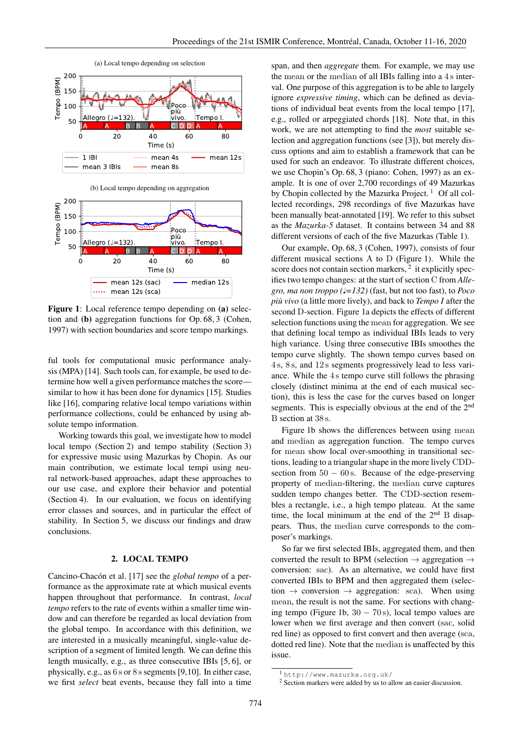



Figure 1: Local reference tempo depending on (a) selection and (b) aggregation functions for Op. 68, 3 (Cohen, 1997) with section boundaries and score tempo markings.

ful tools for computational music performance analysis (MPA) [14]. Such tools can, for example, be used to determine how well a given performance matches the score similar to how it has been done for dynamics [15]. Studies like [16], comparing relative local tempo variations within performance collections, could be enhanced by using absolute tempo information.

Working towards this goal, we investigate how to model local tempo (Section 2) and tempo stability (Section 3) for expressive music using Mazurkas by Chopin. As our main contribution, we estimate local tempi using neural network-based approaches, adapt these approaches to our use case, and explore their behavior and potential (Section 4). In our evaluation, we focus on identifying error classes and sources, and in particular the effect of stability. In Section 5, we discuss our findings and draw conclusions.

# 2. LOCAL TEMPO

Cancino-Chacón et al. [17] see the *global tempo* of a performance as the approximate rate at which musical events happen throughout that performance. In contrast, *local tempo* refers to the rate of events within a smaller time window and can therefore be regarded as local deviation from the global tempo. In accordance with this definition, we are interested in a musically meaningful, single-value description of a segment of limited length. We can define this length musically, e.g., as three consecutive IBIs [5, 6], or physically, e.g., as 6 s or 8 ssegments [9,10]. In either case, we first *select* beat events, because they fall into a time span, and then *aggregate* them. For example, we may use the mean or the median of all IBIs falling into a 4 s interval. One purpose of this aggregation is to be able to largely ignore *expressive timing*, which can be defined as deviations of individual beat events from the local tempo [17], e.g., rolled or arpeggiated chords [18]. Note that, in this work, we are not attempting to find the *most* suitable selection and aggregation functions (see [3]), but merely discuss options and aim to establish a framework that can be used for such an endeavor. To illustrate different choices, we use Chopin's Op. 68, 3 (piano: Cohen, 1997) as an example. It is one of over 2,700 recordings of 49 Mazurkas by Chopin collected by the Mazurka Project.<sup>1</sup> Of all collected recordings, 298 recordings of five Mazurkas have been manually beat-annotated [19]. We refer to this subset as the *Mazurka-5* dataset. It contains between 34 and 88 different versions of each of the five Mazurkas (Table 1).

Our example, Op. 68, 3 (Cohen, 1997), consists of four different musical sections A to D (Figure 1). While the score does not contain section markers,  $2$  it explicitly specifies two tempo changes: at the start of section C from *Allegro, ma non troppo (*♩*=132)* (fast, but not too fast), to *Poco più vivo* (a little more lively), and back to *Tempo I* after the second D-section. Figure 1a depicts the effects of different selection functions using the mean for aggregation. We see that defining local tempo as individual IBIs leads to very high variance. Using three consecutive IBIs smoothes the tempo curve slightly. The shown tempo curves based on 4 s, 8 s, and 12 s segments progressively lead to less variance. While the 4 s tempo curve still follows the phrasing closely (distinct minima at the end of each musical section), this is less the case for the curves based on longer segments. This is especially obvious at the end of the 2<sup>nd</sup> B section at 38 s.

Figure 1b shows the differences between using mean and median as aggregation function. The tempo curves for mean show local over-smoothing in transitional sections, leading to a triangular shape in the more lively CDDsection from  $50 - 60$  s. Because of the edge-preserving property of median-filtering, the median curve captures sudden tempo changes better. The CDD-section resembles a rectangle, i.e., a high tempo plateau. At the same time, the local minimum at the end of the  $2<sup>nd</sup>$  B disappears. Thus, the median curve corresponds to the composer's markings.

So far we first selected IBIs, aggregated them, and then converted the result to BPM (selection  $\rightarrow$  aggregation  $\rightarrow$ conversion: sac). As an alternative, we could have first converted IBIs to BPM and then aggregated them (selection  $\rightarrow$  conversion  $\rightarrow$  aggregation: sca). When using mean, the result is not the same. For sections with changing tempo (Figure 1b,  $30 - 70$  s), local tempo values are lower when we first average and then convert (sac, solid red line) as opposed to first convert and then average (sca, dotted red line). Note that the median is unaffected by this issue.

<sup>1</sup> http://www.mazurka.org.uk/

<sup>2</sup> Section markers were added by us to allow an easier discussion.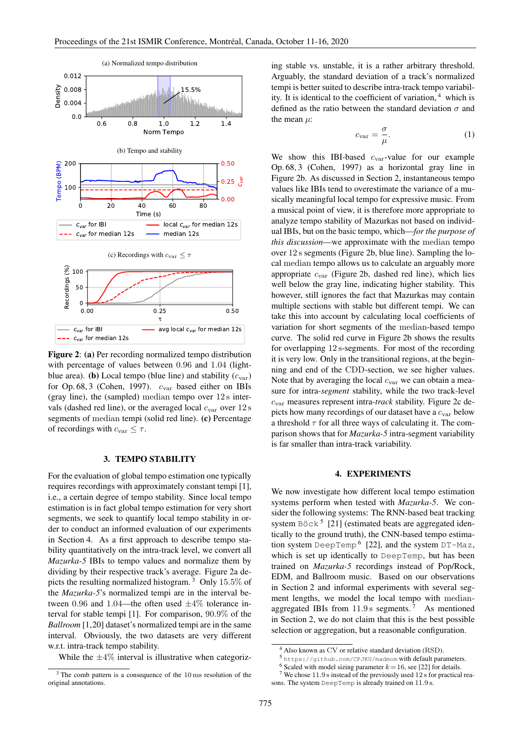

Figure 2: (a) Per recording normalized tempo distribution with percentage of values between 0.96 and 1.04 (lightblue area). (b) Local tempo (blue line) and stability  $(c_{var})$ for Op. 68, 3 (Cohen, 1997).  $c_{\text{var}}$  based either on IBIs (gray line), the (sampled) median tempo over 12 s intervals (dashed red line), or the averaged local  $c_{\text{var}}$  over 12 s segments of median tempi (solid red line). (c) Percentage of recordings with  $c_{\text{var}} \leq \tau$ .

#### 3. TEMPO STABILITY

For the evaluation of global tempo estimation one typically requires recordings with approximately constant tempi [1], i.e., a certain degree of tempo stability. Since local tempo estimation is in fact global tempo estimation for very short segments, we seek to quantify local tempo stability in order to conduct an informed evaluation of our experiments in Section 4. As a first approach to describe tempo stability quantitatively on the intra-track level, we convert all *Mazurka-5* IBIs to tempo values and normalize them by dividing by their respective track's average. Figure 2a depicts the resulting normalized histogram.<sup>3</sup> Only 15.5% of the *Mazurka-5*'s normalized tempi are in the interval between 0.96 and 1.04—the often used  $\pm 4\%$  tolerance interval for stable tempi [1]. For comparison, 90.9% of the *Ballroom* [1,20] dataset's normalized tempi are in the same interval. Obviously, the two datasets are very different w.r.t. intra-track tempo stability.

While the  $\pm 4\%$  interval is illustrative when categoriz-

ing stable vs. unstable, it is a rather arbitrary threshold. Arguably, the standard deviation of a track's normalized tempi is better suited to describe intra-track tempo variability. It is identical to the coefficient of variation,  $4$  which is defined as the ratio between the standard deviation  $\sigma$  and the mean  $\mu$ :

$$
c_{\text{var}} = \frac{\sigma}{\mu}.\tag{1}
$$

We show this IBI-based  $c_{\text{var}}$ -value for our example Op. 68, 3 (Cohen, 1997) as a horizontal gray line in Figure 2b. As discussed in Section 2, instantaneous tempo values like IBIs tend to overestimate the variance of a musically meaningful local tempo for expressive music. From a musical point of view, it is therefore more appropriate to analyze tempo stability of Mazurkas not based on individual IBIs, but on the basic tempo, which—*for the purpose of this discussion*—we approximate with the median tempo over 12 s segments (Figure 2b, blue line). Sampling the local median tempo allows us to calculate an arguably more appropriate  $c_{\text{var}}$  (Figure 2b, dashed red line), which lies well below the gray line, indicating higher stability. This however, still ignores the fact that Mazurkas may contain multiple sections with stable but different tempi. We can take this into account by calculating local coefficients of variation for short segments of the median-based tempo curve. The solid red curve in Figure 2b shows the results for overlapping 12 s-segments. For most of the recording it is very low. Only in the transitional regions, at the beginning and end of the CDD-section, we see higher values. Note that by averaging the local  $c_{\text{var}}$  we can obtain a measure for intra-*segment* stability, while the two track-level cvar measures represent intra-*track* stability. Figure 2c depicts how many recordings of our dataset have a  $c_{\text{var}}$  below a threshold  $\tau$  for all three ways of calculating it. The comparison shows that for *Mazurka-5* intra-segment variability is far smaller than intra-track variability.

#### 4. EXPERIMENTS

We now investigate how different local tempo estimation systems perform when tested with *Mazurka-5*. We consider the following systems: The RNN-based beat tracking system  $\text{Böck}^5$  [21] (estimated beats are aggregated identically to the ground truth), the CNN-based tempo estimation system DeepTemp <sup>6</sup> [22], and the system DT-Maz, which is set up identically to DeepTemp, but has been trained on *Mazurka-5* recordings instead of Pop/Rock, EDM, and Ballroom music. Based on our observations in Section 2 and informal experiments with several segment lengths, we model the local tempo with medianaggregated IBIs from  $11.9 s$  segments.<sup>7</sup> As mentioned in Section 2, we do not claim that this is the best possible selection or aggregation, but a reasonable configuration.

<sup>3</sup> The comb pattern is a consequence of the 10 ms resolution of the original annotations.

<sup>4</sup> Also known as CV or relative standard deviation (RSD).

<sup>5</sup> https://github.com/CPJKU/madmom with default parameters.

<sup>&</sup>lt;sup>6</sup> Scaled with model sizing parameter  $k = 16$ , see [22] for details.

<sup>7</sup> We chose 11.9 s instead of the previously used 12 s for practical reasons. The system DeepTemp is already trained on 11.9 s.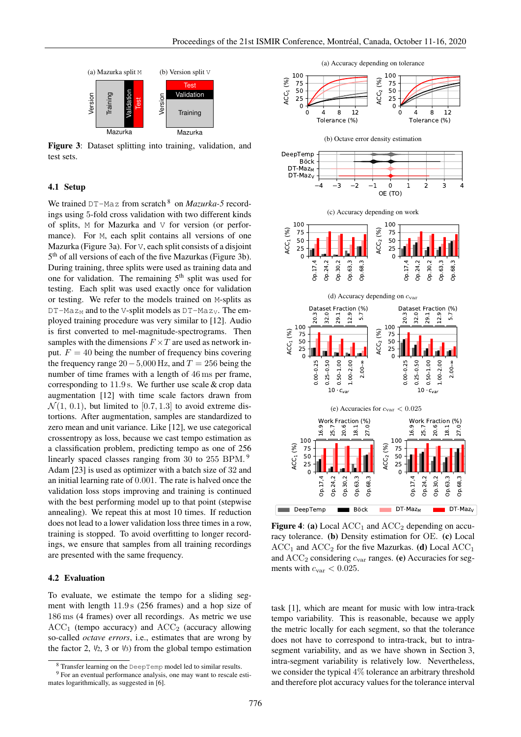

Figure 3: Dataset splitting into training, validation, and test sets.

#### 4.1 Setup

We trained DT-Maz from scratch <sup>8</sup> on *Mazurka-5* recordings using 5-fold cross validation with two different kinds of splits, M for Mazurka and V for version (or performance). For M, each split contains all versions of one Mazurka (Figure 3a). For V, each split consists of a disjoint 5<sup>th</sup> of all versions of each of the five Mazurkas (Figure 3b). During training, three splits were used as training data and one for validation. The remaining  $5<sup>th</sup>$  split was used for testing. Each split was used exactly once for validation or testing. We refer to the models trained on M-splits as  $DT-Ma z_M$  and to the V-split models as  $DT-Ma z_V$ . The employed training procedure was very similar to [12]. Audio is first converted to mel-magnitude-spectrograms. Then samples with the dimensions  $F \times T$  are used as network input.  $F = 40$  being the number of frequency bins covering the frequency range  $20-5,000$  Hz, and  $T = 256$  being the number of time frames with a length of 46 ms per frame, corresponding to 11.9 s. We further use scale & crop data augmentation [12] with time scale factors drawn from  $\mathcal{N}(1, 0.1)$ , but limited to [0.7, 1.3] to avoid extreme distortions. After augmentation, samples are standardized to zero mean and unit variance. Like [12], we use categorical crossentropy as loss, because we cast tempo estimation as a classification problem, predicting tempo as one of 256 linearly spaced classes ranging from 30 to 255 BPM.<sup>9</sup> Adam [23] is used as optimizer with a batch size of 32 and an initial learning rate of 0.001. The rate is halved once the validation loss stops improving and training is continued with the best performing model up to that point (stepwise annealing). We repeat this at most 10 times. If reduction does not lead to a lower validation loss three times in a row, training is stopped. To avoid overfitting to longer recordings, we ensure that samples from all training recordings are presented with the same frequency.

#### 4.2 Evaluation

To evaluate, we estimate the tempo for a sliding segment with length 11.9 s (256 frames) and a hop size of 186 ms (4 frames) over all recordings. As metric we use  $ACC<sub>1</sub>$  (tempo accuracy) and  $ACC<sub>2</sub>$  (accuracy allowing so-called *octave errors*, i.e., estimates that are wrong by the factor 2,  $\frac{1}{2}$ , 3 or  $\frac{1}{3}$  from the global tempo estimation



Figure 4: (a) Local  $ACC<sub>1</sub>$  and  $ACC<sub>2</sub>$  depending on accuracy tolerance. (b) Density estimation for OE. (c) Local  $ACC_1$  and  $ACC_2$  for the five Mazurkas. (d) Local  $ACC_1$ and  $ACC<sub>2</sub> considering  $c_{var}$  ranges. (e) Accuracies for seg$ ments with  $c_{\text{var}} < 0.025$ .

task [1], which are meant for music with low intra-track tempo variability. This is reasonable, because we apply the metric locally for each segment, so that the tolerance does not have to correspond to intra-track, but to intrasegment variability, and as we have shown in Section 3, intra-segment variability is relatively low. Nevertheless, we consider the typical 4% tolerance an arbitrary threshold and therefore plot accuracy values for the tolerance interval

<sup>8</sup> Transfer learning on the DeepTemp model led to similar results.

<sup>&</sup>lt;sup>9</sup> For an eventual performance analysis, one may want to rescale estimates logarithmically, as suggested in [6].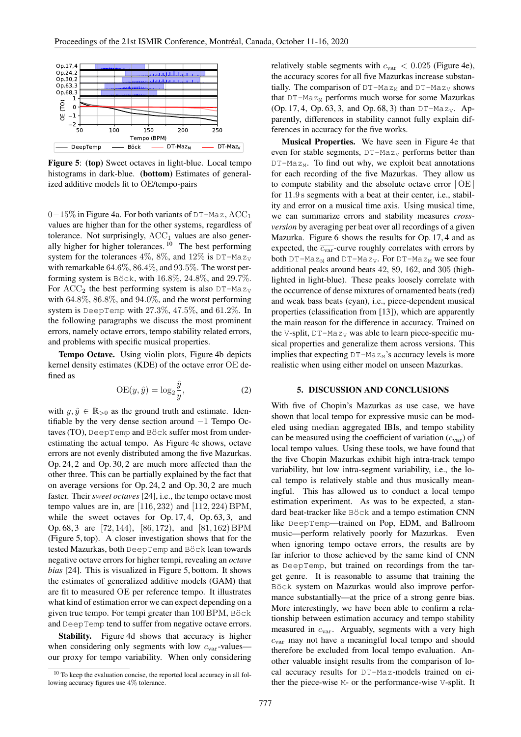

Figure 5: (top) Sweet octaves in light-blue. Local tempo histograms in dark-blue. (bottom) Estimates of generalized additive models fit to OE/tempo-pairs

0−15% in Figure 4a. For both variants of DT-Maz, ACC<sup>1</sup> values are higher than for the other systems, regardless of tolerance. Not surprisingly,  $ACC<sub>1</sub>$  values are also generally higher for higher tolerances. <sup>10</sup> The best performing system for the tolerances 4%, 8%, and 12% is  $DT-MaZ_V$ with remarkable  $64.6\%, 86.4\%,$  and  $93.5\%$ . The worst performing system is Böck, with 16.8%, 24.8%, and 29.7%. For  $ACC<sub>2</sub>$  the best performing system is also  $DT-Ma z_V$ with 64.8%, 86.8%, and 94.0%, and the worst performing system is DeepTemp with 27.3%, 47.5%, and 61.2%. In the following paragraphs we discuss the most prominent errors, namely octave errors, tempo stability related errors, and problems with specific musical properties.

Tempo Octave. Using violin plots, Figure 4b depicts kernel density estimates (KDE) of the octave error OE defined as

$$
OE(y, \hat{y}) = \log_2 \frac{\hat{y}}{y},\tag{2}
$$

with  $y, \hat{y} \in \mathbb{R}_{>0}$  as the ground truth and estimate. Identifiable by the very dense section around −1 Tempo Octaves (TO), DeepTemp and Böck suffer most from underestimating the actual tempo. As Figure 4c shows, octave errors are not evenly distributed among the five Mazurkas. Op. 24, 2 and Op. 30, 2 are much more affected than the other three. This can be partially explained by the fact that on average versions for Op. 24, 2 and Op. 30, 2 are much faster. Their *sweet octaves* [24], i.e., the tempo octave most tempo values are in, are [116, 232) and [112, 224) BPM, while the sweet octaves for Op. 17, 4, Op. 63, 3, and Op. 68, 3 are [72, 144), [86, 172), and [81, 162) BPM (Figure 5, top). A closer investigation shows that for the tested Mazurkas, both DeepTemp and Böck lean towards negative octave errors for higher tempi, revealing an *octave bias* [24]. This is visualized in Figure 5, bottom. It shows the estimates of generalized additive models (GAM) that are fit to measured OE per reference tempo. It illustrates what kind of estimation error we can expect depending on a given true tempo. For tempi greater than 100 BPM, Böck and DeepTemp tend to suffer from negative octave errors.

Stability. Figure 4d shows that accuracy is higher when considering only segments with low  $c_{\text{var}}$ -values– our proxy for tempo variability. When only considering relatively stable segments with  $c_{\text{var}} < 0.025$  (Figure 4e), the accuracy scores for all five Mazurkas increase substantially. The comparison of  $DT-Maz_M$  and  $DT-Maz_V$  shows that  $DT-Maz_M$  performs much worse for some Mazurkas (Op. 17, 4, Op. 63, 3, and Op. 68, 3) than  $DT-Ma z_V$ . Apparently, differences in stability cannot fully explain differences in accuracy for the five works.

Musical Properties. We have seen in Figure 4e that even for stable segments,  $DT-Ma_{Z_V}$  performs better than  $DT-Maz_M$ . To find out why, we exploit beat annotations for each recording of the five Mazurkas. They allow us to compute stability and the absolute octave error  $|OE|$ for 11.9 s segments with a beat at their center, i.e., stability and error on a musical time axis. Using musical time, we can summarize errors and stability measures *crossversion* by averaging per beat over all recordings of a given Mazurka. Figure 6 shows the results for Op. 17, 4 and as expected, the  $\overline{c_{\text{var}}}$ -curve roughly correlates with errors by both DT-Maz<sub>M</sub> and DT-Maz<sub>V</sub>. For DT-Maz<sub>M</sub> we see four additional peaks around beats 42, 89, 162, and 305 (highlighted in light-blue). These peaks loosely correlate with the occurrence of dense mixtures of ornamented beats (red) and weak bass beats (cyan), i.e., piece-dependent musical properties (classification from [13]), which are apparently the main reason for the difference in accuracy. Trained on the V-split,  $DT-Maz_V$  was able to learn piece-specific musical properties and generalize them across versions. This implies that expecting  $DT-Ma z_M$ 's accuracy levels is more realistic when using either model on unseen Mazurkas.

# 5. DISCUSSION AND CONCLUSIONS

With five of Chopin's Mazurkas as use case, we have shown that local tempo for expressive music can be modeled using median aggregated IBIs, and tempo stability can be measured using the coefficient of variation  $(c_{\text{var}})$  of local tempo values. Using these tools, we have found that the five Chopin Mazurkas exhibit high intra-track tempo variability, but low intra-segment variability, i.e., the local tempo is relatively stable and thus musically meaningful. This has allowed us to conduct a local tempo estimation experiment. As was to be expected, a standard beat-tracker like Böck and a tempo estimation CNN like DeepTemp—trained on Pop, EDM, and Ballroom music—perform relatively poorly for Mazurkas. Even when ignoring tempo octave errors, the results are by far inferior to those achieved by the same kind of CNN as DeepTemp, but trained on recordings from the target genre. It is reasonable to assume that training the Böck system on Mazurkas would also improve performance substantially—at the price of a strong genre bias. More interestingly, we have been able to confirm a relationship between estimation accuracy and tempo stability measured in cvar. Arguably, segments with a very high  $c_{\text{var}}$  may not have a meaningful local tempo and should therefore be excluded from local tempo evaluation. Another valuable insight results from the comparison of local accuracy results for DT-Maz-models trained on either the piece-wise M- or the performance-wise V-split. It

 $10$  To keep the evaluation concise, the reported local accuracy in all following accuracy figures use 4% tolerance.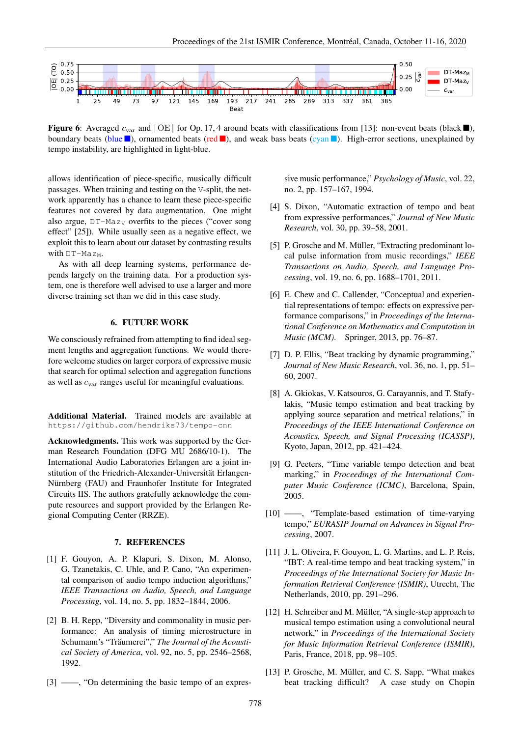

**Figure 6:** Averaged  $c_{\text{var}}$  and  $|\text{OE}|$  for Op. 17, 4 around beats with classifications from [13]: non-event beats (black ), boundary beats (blue  $\blacksquare$ ), ornamented beats (red  $\blacksquare$ ), and weak bass beats (cyan  $\blacksquare$ ). High-error sections, unexplained by tempo instability, are highlighted in light-blue.

allows identification of piece-specific, musically difficult passages. When training and testing on the V-split, the network apparently has a chance to learn these piece-specific features not covered by data augmentation. One might also argue,  $DT-Ma_{ZV}$  overfits to the pieces ("cover song effect" [25]). While usually seen as a negative effect, we exploit this to learn about our dataset by contrasting results with  $DT-Maz_M$ .

As with all deep learning systems, performance depends largely on the training data. For a production system, one is therefore well advised to use a larger and more diverse training set than we did in this case study.

# 6. FUTURE WORK

We consciously refrained from attempting to find ideal segment lengths and aggregation functions. We would therefore welcome studies on larger corpora of expressive music that search for optimal selection and aggregation functions as well as cvar ranges useful for meaningful evaluations.

Additional Material. Trained models are available at https://github.com/hendriks73/tempo-cnn

Acknowledgments. This work was supported by the German Research Foundation (DFG MU 2686/10-1). The International Audio Laboratories Erlangen are a joint institution of the Friedrich-Alexander-Universität Erlangen-Nürnberg (FAU) and Fraunhofer Institute for Integrated Circuits IIS. The authors gratefully acknowledge the compute resources and support provided by the Erlangen Regional Computing Center (RRZE).

# 7. REFERENCES

- [1] F. Gouyon, A. P. Klapuri, S. Dixon, M. Alonso, G. Tzanetakis, C. Uhle, and P. Cano, "An experimental comparison of audio tempo induction algorithms," *IEEE Transactions on Audio, Speech, and Language Processing*, vol. 14, no. 5, pp. 1832–1844, 2006.
- [2] B. H. Repp, "Diversity and commonality in music performance: An analysis of timing microstructure in Schumann's "Träumerei"," *The Journal of the Acoustical Society of America*, vol. 92, no. 5, pp. 2546–2568, 1992.
- [3] ——, "On determining the basic tempo of an expres-

sive music performance," *Psychology of Music*, vol. 22, no. 2, pp. 157–167, 1994.

- [4] S. Dixon, "Automatic extraction of tempo and beat from expressive performances," *Journal of New Music Research*, vol. 30, pp. 39–58, 2001.
- [5] P. Grosche and M. Müller, "Extracting predominant local pulse information from music recordings," *IEEE Transactions on Audio, Speech, and Language Processing*, vol. 19, no. 6, pp. 1688–1701, 2011.
- [6] E. Chew and C. Callender, "Conceptual and experiential representations of tempo: effects on expressive performance comparisons," in *Proceedings of the International Conference on Mathematics and Computation in Music (MCM)*. Springer, 2013, pp. 76–87.
- [7] D. P. Ellis, "Beat tracking by dynamic programming," *Journal of New Music Research*, vol. 36, no. 1, pp. 51– 60, 2007.
- [8] A. Gkiokas, V. Katsouros, G. Carayannis, and T. Stafylakis, "Music tempo estimation and beat tracking by applying source separation and metrical relations," in *Proceedings of the IEEE International Conference on Acoustics, Speech, and Signal Processing (ICASSP)*, Kyoto, Japan, 2012, pp. 421–424.
- [9] G. Peeters, "Time variable tempo detection and beat marking," in *Proceedings of the International Computer Music Conference (ICMC)*, Barcelona, Spain, 2005.
- [10] ——, "Template-based estimation of time-varying tempo," *EURASIP Journal on Advances in Signal Processing*, 2007.
- [11] J. L. Oliveira, F. Gouyon, L. G. Martins, and L. P. Reis, "IBT: A real-time tempo and beat tracking system," in *Proceedings of the International Society for Music Information Retrieval Conference (ISMIR)*, Utrecht, The Netherlands, 2010, pp. 291–296.
- [12] H. Schreiber and M. Müller, "A single-step approach to musical tempo estimation using a convolutional neural network," in *Proceedings of the International Society for Music Information Retrieval Conference (ISMIR)*, Paris, France, 2018, pp. 98–105.
- [13] P. Grosche, M. Müller, and C. S. Sapp, "What makes beat tracking difficult? A case study on Chopin